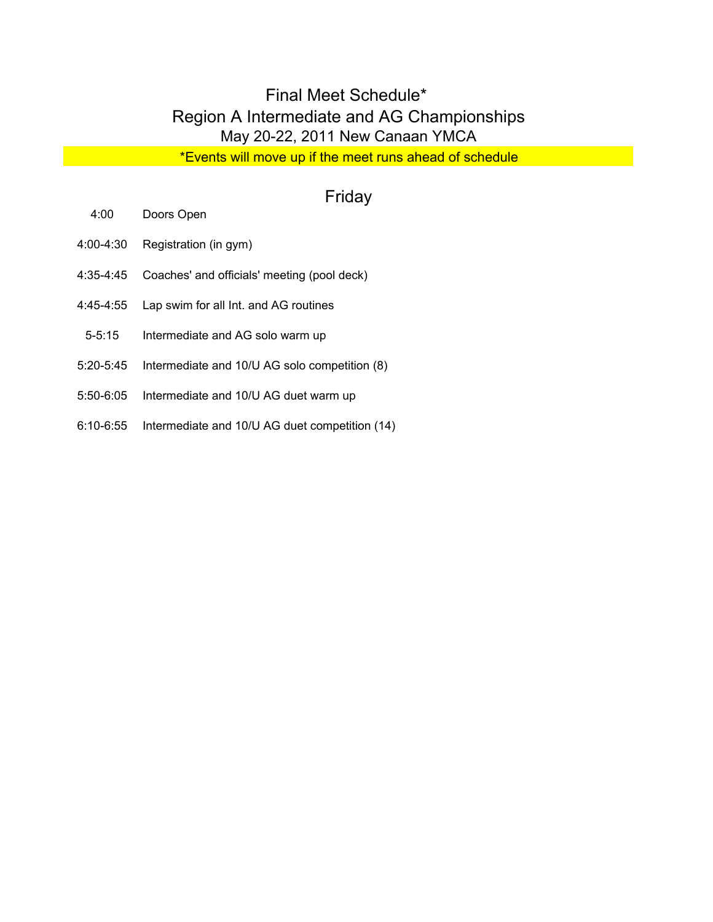## Final Meet Schedule\* Region A Intermediate and AG Championships May 20-22, 2011 New Canaan YMCA

\*Events will move up if the meet runs ahead of schedule

## Friday

- 4:00 Doors Open
- 4:00-4:30 Registration (in gym)
- 4:35-4:45 Coaches' and officials' meeting (pool deck)
- 4:45-4:55 Lap swim for all Int. and AG routines
- 5-5:15 Intermediate and AG solo warm up
- 5:20-5:45 Intermediate and 10/U AG solo competition (8)
- 5:50-6:05 Intermediate and 10/U AG duet warm up
- 6:10-6:55 Intermediate and 10/U AG duet competition (14)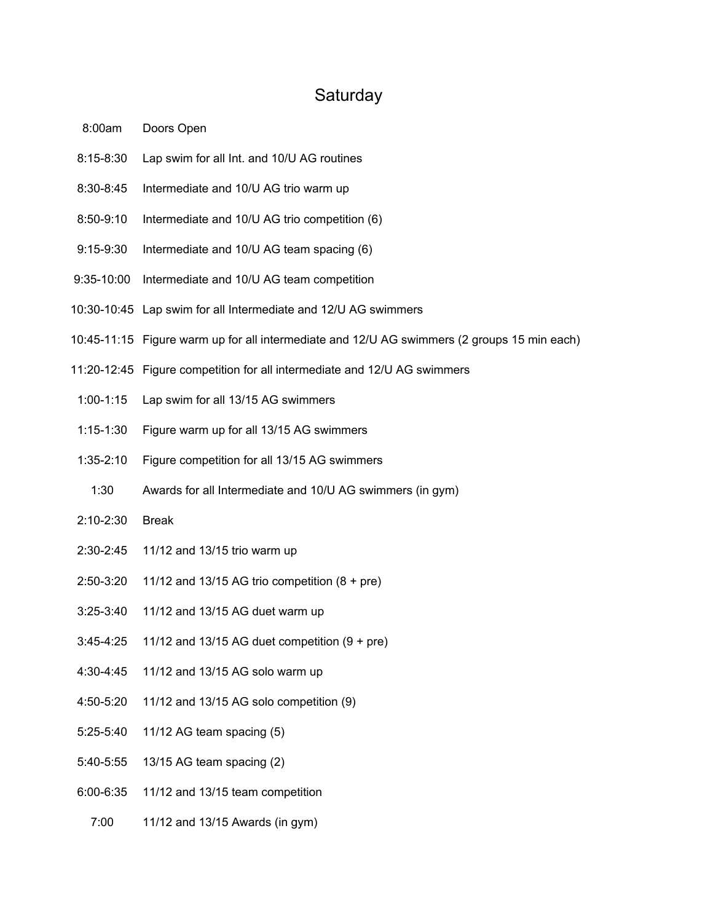## **Saturday**

- 8:00am Doors Open
- 8:15-8:30 Lap swim for all Int. and 10/U AG routines
- 8:30-8:45 Intermediate and 10/U AG trio warm up
- 8:50-9:10 Intermediate and 10/U AG trio competition (6)
- 9:15-9:30 Intermediate and 10/U AG team spacing (6)
- 9:35-10:00 Intermediate and 10/U AG team competition
- 10:30-10:45 Lap swim for all Intermediate and 12/U AG swimmers
- 10:45-11:15 Figure warm up for all intermediate and 12/U AG swimmers (2 groups 15 min each)
- 11:20-12:45 Figure competition for all intermediate and 12/U AG swimmers
- 1:00-1:15 Lap swim for all 13/15 AG swimmers
- 1:15-1:30 Figure warm up for all 13/15 AG swimmers
- 1:35-2:10 Figure competition for all 13/15 AG swimmers
- 1:30 Awards for all Intermediate and 10/U AG swimmers (in gym)
- 2:10-2:30 Break
- 2:30-2:45 11/12 and 13/15 trio warm up
- 2:50-3:20 11/12 and 13/15 AG trio competition (8 + pre)
- 3:25-3:40 11/12 and 13/15 AG duet warm up
- 3:45-4:25 11/12 and 13/15 AG duet competition (9 + pre)
- 4:30-4:45 11/12 and 13/15 AG solo warm up
- 4:50-5:20 11/12 and 13/15 AG solo competition (9)
- 5:25-5:40 11/12 AG team spacing (5)
- 5:40-5:55 13/15 AG team spacing (2)
- 6:00-6:35 11/12 and 13/15 team competition
	- 7:00 11/12 and 13/15 Awards (in gym)